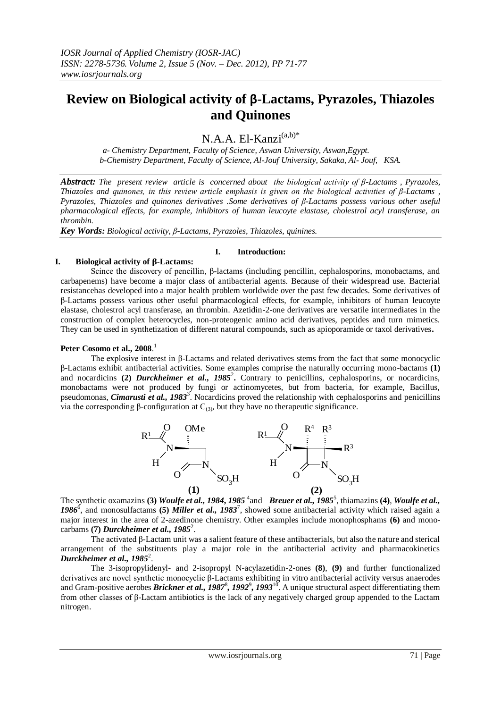# **Review on Biological activity of β-Lactams, Pyrazoles, Thiazoles and Quinones**

N.A.A. El-Kanzi<sup>(a,b)\*</sup>

 *a- Chemistry Department, Faculty of Science, Aswan University, Aswan,Egypt. b-Chemistry Department, Faculty of Science, Al-Jouf University, Sakaka, Al- Jouf, KSA.*

*Abstract: The present review article is concerned about the biological activity of β-Lactams , Pyrazoles, Thiazoles and quinones, in this review article emphasis is given on the biological activities of β-Lactams , Pyrazoles, Thiazoles and quinones derivatives .Some derivatives of β-Lactams possess various other useful pharmacological effects, for example, inhibitors of human leucoyte elastase, cholestrol acyl transferase, an thrombin.*

*Key Words: Biological activity, β-Lactams, Pyrazoles, Thiazoles, quinines.*

#### **I. Introduction:**

#### **I. Biological activity of β-Lactams:**

Scince the discovery of pencillin, β-lactams (including pencillin, cephalosporins, monobactams, and carbapenems) have become a major class of antibacterial agents. Because of their widespread use. Bacterial resistancehas developed into a major health problem worldwide over the past few decades. Some derivatives of β-Lactams possess various other useful pharmacological effects, for example, inhibitors of human leucoyte elastase, cholestrol acyl transferase, an thrombin. Azetidin-2-one derivatives are versatile intermediates in the construction of complex heterocycles, non-proteogenic amino acid derivatives, peptides and turn mimetics. They can be used in synthetization of different natural compounds, such as apioporamide or taxol derivatives**.** 

## **Peter Cosomo et al., 2008**. 1

The explosive interest in β-Lactams and related derivatives stems from the fact that some monocyclic β-Lactams exhibit antibacterial activities. Some examples comprise the naturally occurring mono-bactams **(1)** and nocardicins (2) *Durckheimer et al., 1985<sup>2</sup>*. Contrary to penicillins, cephalosporins, or nocardicins, monobactams were not produced by fungi or actinomycetes, but from bacteria, for example, Bacillus, pseudomonas, *Cimarusti et al., 1983*<sup>3</sup>. Nocardicins proved the relationship with cephalosporins and penicillins via the corresponding β-configuration at  $C_{(3)}$ , but they have no therapeutic significance.



The synthetic oxamazins **(3)** *Woulfe et al., 1984, 1985*<sup>4</sup> and *Breuer et al., 1985*<sup>5</sup>, thiamazins **(4)**, *Woulfe et al., 1986*<sup>6</sup> , and monosulfactams **(5)** *Miller et al., 1983*<sup>7</sup> , showed some antibacterial activity which raised again a major interest in the area of 2-azedinone chemistry. Other examples include monophosphams **(6)** and monocarbams **(7)** *Durckheimer et al., 1985*<sup>2</sup> .

The activated β-Lactam unit was a salient feature of these antibacterials, but also the nature and sterical arrangement of the substituents play a major role in the antibacterial activity and pharmacokinetics *Durckheimer et al., 1985*<sup>2</sup> .

The 3-isopropylidenyl- and 2-isopropyl N-acylazetidin-2-ones **(8)**, **(9)** and further functionalized derivatives are novel synthetic monocyclic β-Lactams exhibiting in vitro antibacterial activity versus anaerodes and Gram-positive aerobes *Brickner et al., 1987<sup>8</sup>*, 1992<sup>9</sup>, 1993<sup>10</sup>. A unique structural aspect differentiating them from other classes of β-Lactam antibiotics is the lack of any negatively charged group appended to the Lactam nitrogen.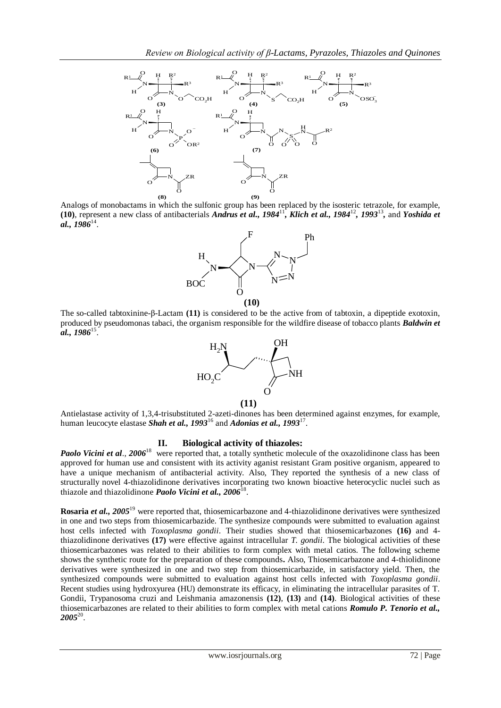

Analogs of monobactams in which the sulfonic group has been replaced by the isosteric tetrazole, for example, (10), represent a new class of antibacterials *Andrus et al., 1984*<sup>11</sup>, *Klich et al., 1984*<sup>12</sup>, 1993<sup>13</sup>, and *Yoshida et al., 1986*<sup>14</sup> .



The so-called tabtoxinine-β-Lactam **(11)** is considered to be the active from of tabtoxin, a dipeptide exotoxin, produced by pseudomonas tabaci, the organism responsible for the wildfire disease of tobacco plants *Baldwin et al., 1986*<sup>15</sup> .



Antielastase activity of 1,3,4-trisubstituted 2-azeti-dinones has been determined against enzymes, for example, human leucocyte elastase *Shah et al., 1993*<sup>16</sup> and *Adonias et al., 1993*<sup>17</sup> .

## **II. Biological activity of thiazoles:**

*Paolo Vicini et al*., *2006*<sup>18</sup> were reported that, a totally synthetic molecule of the oxazolidinone class has been approved for human use and consistent with its activity aganist resistant Gram positive organism, appeared to have a unique mechanism of antibacterial activity. Also, They reported the synthesis of a new class of structurally novel 4-thiazolidinone derivatives incorporating two known bioactive heterocyclic nuclei such as thiazole and thiazolidinone *Paolo Vicini et al.*, 2006<sup>18</sup>.

 $\frac{1}{2}$ <br>  $\frac{1}{2}$ <br>  $\frac{1}{2}$ <br>  $\frac{1}{2}$ <br>  $\frac{1}{2}$ <br>  $\frac{1}{2}$ <br>  $\frac{1}{2}$ <br>  $\frac{1}{2}$ <br>  $\frac{1}{2}$ <br>  $\frac{1}{2}$ <br>  $\frac{1}{2}$ <br>  $\frac{1}{2}$ <br>  $\frac{1}{2}$ <br>  $\frac{1}{2}$ <br>  $\frac{1}{2}$ <br>  $\frac{1}{2}$ <br>  $\frac{1}{2}$ <br>  $\frac{1}{2}$ <br>  $\frac{1}{2}$ <br>  $\frac{1}{2}$ <br> **Rosaria** *et al., 2005*<sup>19</sup> were reported that, thiosemicarbazone and 4-thiazolidinone derivatives were synthesized in one and two steps from thiosemicarbazide. The synthesize compounds were submitted to evaluation against host cells infected with *Toxoplasma gondii*. Their studies showed that thiosemicarbazones **(16)** and 4 thiazolidinone derivatives **(17)** were effective against intracellular *T. gondii*. The biological activities of these thiosemicarbazones was related to their abilities to form complex with metal catios. The following scheme shows the synthetic route for the preparation of these compounds**.** Also, Thiosemicarbazone and 4-thiolidinone derivatives were synthesized in one and two step from thiosemicarbazide, in satisfactory yield. Then, the synthesized compounds were submitted to evaluation against host cells infected with *Toxoplasma gondii*. Recent studies using hydroxyurea (HU) demonstrate its efficacy, in eliminating the intracellular parasites of T. Gondii, Trypanosoma cruzi and Leishmania amazonensis **(12)**, **(13)** and **(14)**. Biological activities of these thiosemicarbazones are related to their abilities to form complex with metal cations *Romulo P. Tenorio et al.,*   $2005^{20}$ .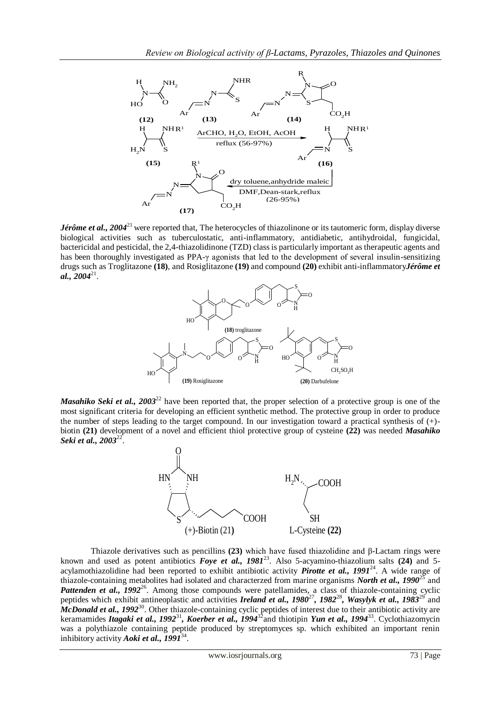

*Jérôme et al., 2004*<sup>21</sup> were reported that, The heterocycles of thiazolinone or its tautomeric form, display diverse biological activities such as tuberculostatic, anti-inflammatory, antidiabetic, antihydroidal, fungicidal, bactericidal and pesticidal, the 2,4-thiazolidinone (TZD) class is particularly important as therapeutic agents and has been thoroughly investigated as PPA-γ agonists that led to the development of several insulin-sensitizing drugs such as Troglitazone **(18)**, and Rosiglitazone **(19)** and compound **(20)** exhibit anti-inflammatory*Jérôme et*   $al., 2004<sup>21</sup>.$ 



*Masahiko Seki et al., 2003*<sup>22</sup> have been reported that, the proper selection of a protective group is one of the most significant criteria for developing an efficient synthetic method. The protective group in order to produce the number of steps leading to the target compound. In our investigation toward a practical synthesis of (+) biotin **(21)** development of a novel and efficient thiol protective group of cysteine **(22)** was needed *Masahiko Seki et al., 2003*<sup>22</sup> .



Thiazole derivatives such as pencillins **(23)** which have fused thiazolidine and β-Lactam rings were known and used as potent antibiotics *Foye et al., 1981*<sup>23</sup> . Also 5-acyamino-thiazolium salts **(24)** and 5 acylamothiazolidine had been reported to exhibit antibiotic activity *Pirotte et al.*, 1991<sup>24</sup>. A wide range of thiazole-containing metabolites had isolated and characterzed from marine organisms *North et al., 1990*<sup>25</sup> and Pattenden et al., 1992<sup>26</sup>. Among those compounds were patellamides, a class of thiazole-containing cyclic peptides which exhibit antineoplastic and activities *Ireland et al., 1980<sup>27</sup>, 1982<sup>28</sup>, Wasylyk et al., 1983<sup>29</sup> and* McDonald et al., 1992<sup>30</sup>. Other thiazole-containing cyclic peptides of interest due to their antibiotic activity are keramamides *Itagaki et al., 1992<sup>31</sup>, Koerber et al., 1994<sup>32</sup> and thiotipin <i>Yun et al., 1994*<sup>33</sup>. Cyclothiazomycin was a polythiazole containing peptide produced by streptomyces sp. which exhibited an important renin inhibitory activity *Aoki et al., 1991*<sup>34</sup> .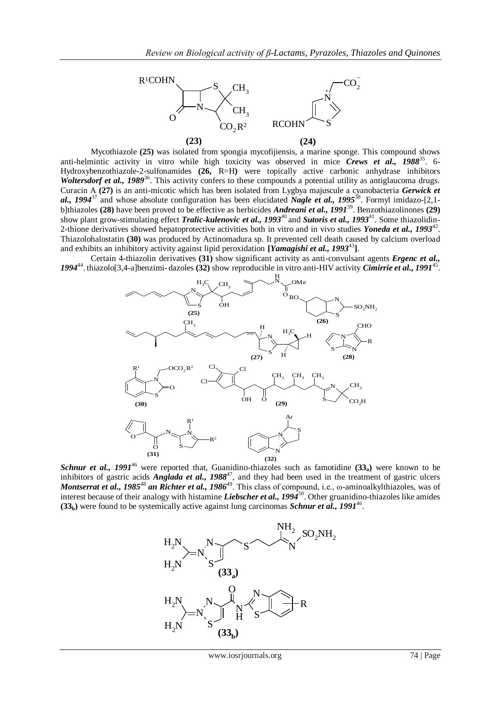

Mycothiazole **(25)** was isolated from spongia mycofijiensis, a marine sponge. This compound shows anti-helmintic activity in vitro while high toxicity was observed in mice *Crews et al.*, 1988<sup>35</sup>. 6-Hydroxybenzothiazole-2-sulfonamides **(26,** R=H**)** were topically active carbonic anhydrase inhibitors Woltersdorf et al., 1989<sup>36</sup>. This activity confers to these compounds a potential utility as antiglaucoma drugs. Curacin A **(27)** is an anti-micotic which has been isolated from Lygbya majuscule a cyanobacteria *Gerwick et*  al., 1994<sup>37</sup> and whose absolute configuration has been elucidated *Nagle et al.*, 1995<sup>38</sup>. Formyl imidazo-[2,1b]thiazoles **(28)** have been proved to be effective as herbicides *Andreani et al., 1991*<sup>39</sup>. Benzothiazolinones **(29)** show plant grow-stimulating effect *Tralic-kulenovic et al., 1993*<sup>40</sup> and *Sutoris et al., 1993*<sup>41</sup>. Some thiazolidin-2-thione derivatives showed hepatoprotective activities both in vitro and in vivo studies *Yoneda et al.*, 1993<sup>42</sup>. Thiazolohalostatin **(30)** was produced by Actinomadura sp. It prevented cell death caused by calcium overload and exhibits an inhibitory activity against lipid peroxidation **[***Yamagishi et al., 1993*<sup>43</sup> **]**.

Certain 4-thiazolin derivatives **(31)** show significant activity as anti-convulsant agents *Ergenc et al.,*  1994<sup>44</sup>. thiazolo[3,4-a]benzimi-dazoles (32) show reproducible in vitro anti-HIV activity *Cimirrie et al., 1991*<sup>45</sup>.



*Schnur et al., 1991*<sup>46</sup> were reported that, Guanidino-thiazoles such as famotidine **(33a)** were known to be inhibitors of gastric acids *Anglada et al., 1988<sup>47</sup>*, and they had been used in the treatment of gastric ulcers *Montserrat et al., 1985<sup>48</sup> an Richter et al., 1986<sup>49</sup>. This class of compound, i.e., ω-aminoalkylthiazoles, was of* interest because of their analogy with histamine *Liebscher et al., 1994*<sup>50</sup> . Other gruanidino-thiazoles like amides  $(33<sub>b</sub>)$  were found to be systemically active against lung carcinomas *Schnur et al., 1991<sup>46</sup>*.

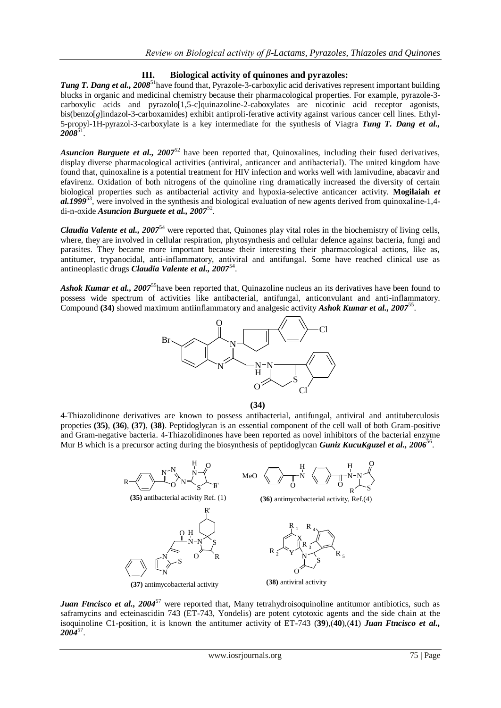# **III. Biological activity of quinones and pyrazoles:**

Tung T. Dang et al., 2008<sup>51</sup> have found that, Pyrazole-3-carboxylic acid derivatives represent important building blucks in organic and medicinal chemistry because their pharmacological properties. For example, pyrazole-3 carboxylic acids and pyrazolo[1,5-c]quinazoline-2-caboxylates are nicotinic acid receptor agonists, bis(benzo[*g*]indazol-3-carboxamides) exhibit antiproli-ferative activity against various cancer cell lines. Ethyl-5-propyl-1H-pyrazol-3-carboxylate is a key intermediate for the synthesis of Viagra *Tung T. Dang et al., 2008*<sup>51</sup> .

Asuncion Burguete et al., 2007<sup>52</sup> have been reported that, Quinoxalines, including their fused derivatives, display diverse pharmacological activities (antiviral, anticancer and antibacterial). The united kingdom have found that, quinoxaline is a potential treatment for HIV infection and works well with lamivudine, abacavir and efavirenz. Oxidation of both nitrogens of the quinoline ring dramatically increased the diversity of certain biological properties such as antibacterial activity and hypoxia-selective anticancer activity. **Mogilaiah** *et al.1999*<sup>53</sup> , were involved in the synthesis and biological evaluation of new agents derived from quinoxaline-1,4 di-n-oxide *Asuncion Burguete et al., 2007*<sup>52</sup> .

*Claudia Valente et al., 2007*<sup>54</sup> were reported that, Quinones play vital roles in the biochemistry of living cells, where, they are involved in cellular respiration, phytosynthesis and cellular defence against bacteria, fungi and parasites. They became more important because their interesting their pharmacological actions, like as, antitumer, trypanocidal, anti-inflammatory, antiviral and antifungal. Some have reached clinical use as antineoplastic drugs *Claudia Valente et al., 2007*<sup>54</sup> .

Ashok Kumar et al., 2007<sup>55</sup>have been reported that, Quinazoline nucleus an its derivatives have been found to possess wide spectrum of activities like antibacterial, antifungal, anticonvulant and anti-inflammatory. Compound **(34)** showed maximum antiinflammatory and analgesic activity *Ashok Kumar et al., 2007*<sup>55</sup> .



**(34)**

4-Thiazolidinone derivatives are known to possess antibacterial, antifungal, antiviral and antituberculosis propeties **(35)**, **(36)**, **(37)**, **(38)**. Peptidoglycan is an essential component of the cell wall of both Gram-positive and Gram-negative bacteria. 4-Thiazolidinones have been reported as novel inhibitors of the bacterial enzyme Mur B which is a precursor acting during the biosynthesis of peptidoglycan *Guniz KucuKguzel et al., 2006*<sup>56</sup>.



*Juan Ftncisco et al., 2004*<sup>57</sup> were reported that, Many tetrahydroisoquinoline antitumor antibiotics, such as saframycins and ecteinascidin 743 (ET-743, Yondelis) are potent cytotoxic agents and the side chain at the isoquinoline C1-position, it is known the antitumer activity of ET-743 (**39**),(**40**),(**41**) *Juan Ftncisco et al., 2004*<sup>57</sup> .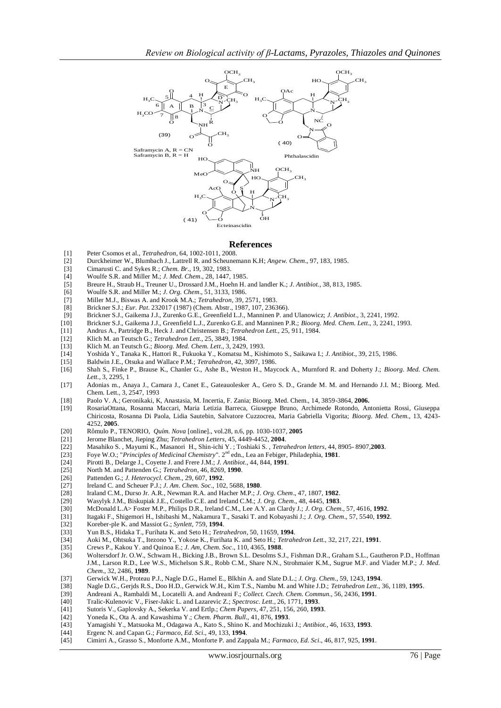

#### **References**

- [1] Peter Csomos et al., *Tetrahedron*, 64, 1002-1011, 2008.
- [2] Durckheimer W., Blumbach J., Lattrell R. and Scheunemann K.H; *Angew. Chem*., 97, 183, 1985.
- [3] Cimarusti C. and Sykes R.; *Chem. Br*., 19, 302, 1983.
- [4] Woulfe S.R. and Miller M.; *J. Med. Chem*., 28, 1447, 1985.
- [5] Breure H., Straub H., Treuner U., Drossard J.M., Hoehn H. and landler K.; *J. Antibiot*., 38, 813, 1985.
- [6] Woulfe S.R. and Miller M.; *J. Org. Chem*., 51, 3133, 1986.
- [7] Miller M.J., Biswas A. and Krook M.A.; *Tetrahedron*, 39, 2571, 1983.
- [8] Brickner S.J.; *Eur. Pat*. 232017 (1987) (Chem. Abstr., 1987, 107, 236366).
- [9] Brickner S.J., Gaikema J.J., Zurenko G.E., Greenfield L.J., Manninen P. and Ulanowicz; *J. Antibiot*., 3, 2241, 1992.
- [10] Brickner S.J., Gaikema J.J., Greenfield L.J., Zurenko G.E. and Manninen P.R.; *Bioorg. Med. Chem. Lett*., 3, 2241, 1993.
- [11] Andrus A., Partridge B., Heck J. and Christensen B.; *Tetrahedron Lett.,* 25, 911, 1984.
- [12] Klich M. an Teutsch G.; *Tetrahedron Lett*., 25, 3849, 1984.
- [13] Klich M. an Teutsch G.; *Bioorg. Med. Chem. Lett*., 3, 2429, 1993.
- [14] Yoshida Y., Tanaka K., Hattori R., Fukuoka Y., Komatsu M., Kishimoto S., Saikawa I.; *J. Antibiot*., 39, 215, 1986.
- [15] Baldwin J.E., Otsuka and Wallace P.M.; *Tetrahedron*, 42, 3097, 1986.
- [16] Shah S., Finke P., Brause K., Chanler G., Ashe B., Weston H., Maycock A., Murnford R. and Doherty J.; *Bioorg. Med. Chem. Lett*., 3, 2295, 1
- [17] Adonias m., Anaya J., Camara J., Canet E., Gateauolesker A., Gero S. D., Grande M. M. and Hernando J.I. M.; Bioorg. Med. Chem. Lett., 3, 2547, 1993
- [18] Paolo V. A.; Geronikaki, K, Anastasia, M. Incertia, F. Zania; Bioorg. Med. Chem., 14, 3859-3864, **2006.**
- [19] RosariaOttana, Rosanna Maccari, Maria Letizia Barreca, Giuseppe Bruno, Archimede Rotondo, Antonietta Rossi, Giuseppa Chiricosta, Rosanna Di Paola, Lidia Sautebin, Salvatore Cuzzocrea, Maria Gabriella Vigorita; *Bioorg. Med. Chem.*, 13, 4243- 4252, **2005**.
- [20] Rômulo P.[, TENORIO,](http://www.scielo.br/cgi-bin/wxis.exe/iah/?IsisScript=iah/iah.xis&base=article%5Edlibrary&format=iso.pft&lang=i&nextAction=lnk&indexSearch=AU&exprSearch=TENORIO,+ROMULO+P.) *Quím. Nova* [online]., vol.28, n.6, pp. 1030-1037, **2005**
- [21] Jerome Blanchet, Jieping Zhu; *Tetrahedron Letters*, 45, 4449-4452, **2004**.
- [22] Masahiko S. , Mayumi K., Masanori H., Shin-ichi Y. ; Toshiaki S. , *Tetrahedron letters*, 44, 8905- 8907,**2003**.
- [23] Foye W.O.; "*Principles of Medicinal Chemistry*". 2nd edn., Lea an Febiger, Philadephia, **1981**.
- [24] Pirotti B., Delarge J., Coyette J. and Frere J.M.; *J. Antibiot*., 44, 844, **1991**.
- [25] North M. and Pattenden G.; *Tetrahedron*, 46, 8269, **1990**.
- [26] Pattenden G.; *J. Heterocycl. Chem*., 29, 607, **1992**.
- 
- [27] Ireland C. and Scheuer P.J.; *J. Am. Chem. Soc*., 102, 5688, **1980**.
- [28] Iraland C.M., Durso Jr. A.R., Newman R.A. and Hacher M.P.; *J. Org. Chem*., 47, 1807, **1982**. [29] Wasylyk J.M., Biskupiak J.E., Costello C.E. and Ireland C.M.; *J. Org. Chem*., 48, 4445, **1983**.
- [30] McDonald L.A> Foster M.P., Philips D.R., Ireland C.M., Lee A.Y. an Clardy J.; *J. Org. Chem*., 57, 4616, **1992**.
- [31] Itagaki F., Shigemori H., Ishibashi M., Nakamura T., Sasaki T. and Kobayashi J.; *J. Org. Chem*., 57, 5540, **1992**.
- [32] Koreber-ple K. and Massiot G.; *Synlett*, 759, **1994**.
- [33] Yun B.S., Hidaka T., Furihata K. and Seto H.; *Tetrahedron*, 50, 11659, **1994**.
- [34] Aoki M., Ohtsuka T., Itezono Y., Yokose K., Furihata K. and Seto H.; *Tetrahedron Lett.,* 32, 217, 221, **1991**.
- [35] Crews P., Kakou Y. and Quinoa E.; *J. Am, Chem. Soc*., 110, 4365, **1988**.
- Woltersdorf Jr. O.W., Schwam H., Bicking J.B., Brown S.L. Desolms S.J., Fishman D.R., Graham S.L., Gautheron P.D., Hoffman J.M., Larson R.D., Lee W.S., Michelson S.R., Robb C.M., Share N.N., Strohmaier K.M., Sugrue M.F. and Viader M.P.; *J. Med. Chem*., 32, 2486, **1989**.
- [37] Gerwick W.H., Proteau P.J., Nagle D.G., Hamel E., Blkhin A. and Slate D.L.; *J. Org. Chem*., 59, 1243, **1994**.
- [38] Nagle D.G., Gerjds R.S., Doo H.D., Gerwick W.H., Kim T.S., Nambu M. and White J.D.; *Tetrahedron Lett*., 36, 1189, **1995**.
- [39] Andreani A., Rambaldi M., Locatelli A. and Andreani F.; *Collect. Czech. Chem. Commun.,* 56, 2436, **1991**.
- [40] Tralic-Kulenovic V., Fiser-Jakic L. and Lazarevic Z.; *Spectrosc. Lett*., 26, 1771, **1993**.
- [41] Sutoris V., Gaplovsky A., Sekerka V. and Ertlp.; *Chem Papers*, 47, 251, 156, 260, **1993**.
- [42] Yoneda K., Ota A. and Kawashima Y.; *Chem. Pharm. Bull*., 41, 876, **1993**.
- [43] Yamagishi Y., Matsuoka M., Odagawa A., Kato S., Shino K. and Mochizuki J.; *Antibiot*., 46, 1633, **1993**.
- [44] Ergenc N. and Capan G.; *Farmaco, Ed. Sci*., 49, 133, **1994**.
- [45] Cimirri A., Grasso S., Monforte A.M., Monforte P. and Zappala M.; *Farmaco, Ed. Sci*., 46, 817, 925, **1991**.